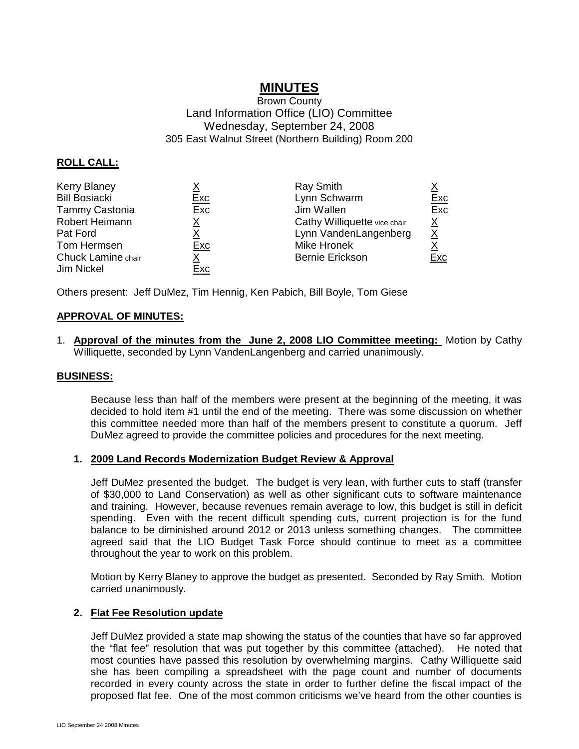# **MINUTES**

# Brown County Land Information Office (LIO) Committee Wednesday, September 24, 2008 305 East Walnut Street (Northern Building) Room 200

# **ROLL CALL:**

| <b>Kerry Blaney</b>  |            | <b>Ray Smith</b>             |                 |
|----------------------|------------|------------------------------|-----------------|
| <b>Bill Bosiacki</b> | <u>Exc</u> | Lynn Schwarm                 | <b>Exc</b>      |
| Tammy Castonia       | Exc        | Jim Wallen                   | <b>Exc</b>      |
| Robert Heimann       |            | Cathy Williquette vice chair | $\underline{X}$ |
| Pat Ford             |            | Lynn VandenLangenberg        | <u>X</u>        |
| Tom Hermsen          | Exc        | Mike Hronek                  |                 |
| Chuck Lamine chair   | х          | <b>Bernie Erickson</b>       | Exc             |
| Jim Nickel           | Exc        |                              |                 |

Others present: Jeff DuMez, Tim Hennig, Ken Pabich, Bill Boyle, Tom Giese

# **APPROVAL OF MINUTES:**

1. **Approval of the minutes from the June 2, 2008 LIO Committee meeting:** Motion by Cathy Williquette, seconded by Lynn VandenLangenberg and carried unanimously.

#### **BUSINESS:**

Because less than half of the members were present at the beginning of the meeting, it was decided to hold item #1 until the end of the meeting. There was some discussion on whether this committee needed more than half of the members present to constitute a quorum. Jeff DuMez agreed to provide the committee policies and procedures for the next meeting.

#### **1. 2009 Land Records Modernization Budget Review & Approval**

Jeff DuMez presented the budget. The budget is very lean, with further cuts to staff (transfer of \$30,000 to Land Conservation) as well as other significant cuts to software maintenance and training. However, because revenues remain average to low, this budget is still in deficit spending. Even with the recent difficult spending cuts, current projection is for the fund balance to be diminished around 2012 or 2013 unless something changes. The committee agreed said that the LIO Budget Task Force should continue to meet as a committee throughout the year to work on this problem.

Motion by Kerry Blaney to approve the budget as presented. Seconded by Ray Smith. Motion carried unanimously.

#### **2. Flat Fee Resolution update**

Jeff DuMez provided a state map showing the status of the counties that have so far approved the "flat fee" resolution that was put together by this committee (attached). He noted that most counties have passed this resolution by overwhelming margins. Cathy Williquette said she has been compiling a spreadsheet with the page count and number of documents recorded in every county across the state in order to further define the fiscal impact of the proposed flat fee. One of the most common criticisms we've heard from the other counties is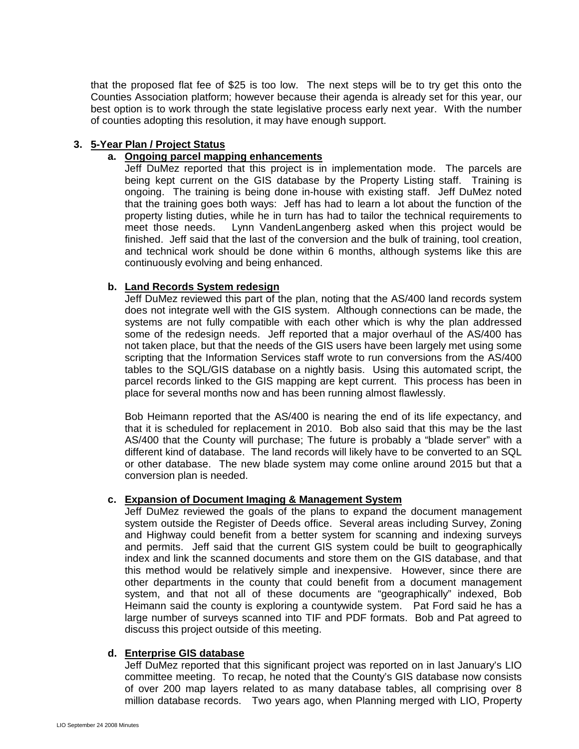that the proposed flat fee of \$25 is too low. The next steps will be to try get this onto the Counties Association platform; however because their agenda is already set for this year, our best option is to work through the state legislative process early next year. With the number of counties adopting this resolution, it may have enough support.

### **3. 5-Year Plan / Project Status**

## **a. Ongoing parcel mapping enhancements**

Jeff DuMez reported that this project is in implementation mode. The parcels are being kept current on the GIS database by the Property Listing staff. Training is ongoing. The training is being done in-house with existing staff. Jeff DuMez noted that the training goes both ways: Jeff has had to learn a lot about the function of the property listing duties, while he in turn has had to tailor the technical requirements to meet those needs. Lynn VandenLangenberg asked when this project would be finished. Jeff said that the last of the conversion and the bulk of training, tool creation, and technical work should be done within 6 months, although systems like this are continuously evolving and being enhanced.

## **b. Land Records System redesign**

Jeff DuMez reviewed this part of the plan, noting that the AS/400 land records system does not integrate well with the GIS system. Although connections can be made, the systems are not fully compatible with each other which is why the plan addressed some of the redesign needs. Jeff reported that a major overhaul of the AS/400 has not taken place, but that the needs of the GIS users have been largely met using some scripting that the Information Services staff wrote to run conversions from the AS/400 tables to the SQL/GIS database on a nightly basis. Using this automated script, the parcel records linked to the GIS mapping are kept current. This process has been in place for several months now and has been running almost flawlessly.

Bob Heimann reported that the AS/400 is nearing the end of its life expectancy, and that it is scheduled for replacement in 2010. Bob also said that this may be the last AS/400 that the County will purchase; The future is probably a "blade server" with a different kind of database. The land records will likely have to be converted to an SQL or other database. The new blade system may come online around 2015 but that a conversion plan is needed.

### **c. Expansion of Document Imaging & Management System**

Jeff DuMez reviewed the goals of the plans to expand the document management system outside the Register of Deeds office. Several areas including Survey, Zoning and Highway could benefit from a better system for scanning and indexing surveys and permits. Jeff said that the current GIS system could be built to geographically index and link the scanned documents and store them on the GIS database, and that this method would be relatively simple and inexpensive. However, since there are other departments in the county that could benefit from a document management system, and that not all of these documents are "geographically" indexed, Bob Heimann said the county is exploring a countywide system. Pat Ford said he has a large number of surveys scanned into TIF and PDF formats. Bob and Pat agreed to discuss this project outside of this meeting.

#### **d. Enterprise GIS database**

Jeff DuMez reported that this significant project was reported on in last January's LIO committee meeting. To recap, he noted that the County's GIS database now consists of over 200 map layers related to as many database tables, all comprising over 8 million database records. Two years ago, when Planning merged with LIO, Property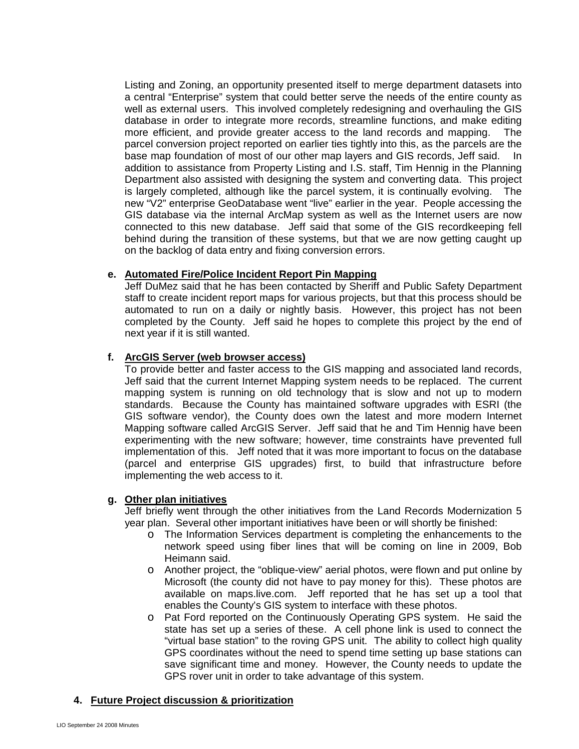Listing and Zoning, an opportunity presented itself to merge department datasets into a central "Enterprise" system that could better serve the needs of the entire county as well as external users. This involved completely redesigning and overhauling the GIS database in order to integrate more records, streamline functions, and make editing more efficient, and provide greater access to the land records and mapping. The parcel conversion project reported on earlier ties tightly into this, as the parcels are the base map foundation of most of our other map layers and GIS records, Jeff said. In addition to assistance from Property Listing and I.S. staff, Tim Hennig in the Planning Department also assisted with designing the system and converting data. This project is largely completed, although like the parcel system, it is continually evolving. The new "V2" enterprise GeoDatabase went "live" earlier in the year. People accessing the GIS database via the internal ArcMap system as well as the Internet users are now connected to this new database. Jeff said that some of the GIS recordkeeping fell behind during the transition of these systems, but that we are now getting caught up on the backlog of data entry and fixing conversion errors.

## **e. Automated Fire/Police Incident Report Pin Mapping**

Jeff DuMez said that he has been contacted by Sheriff and Public Safety Department staff to create incident report maps for various projects, but that this process should be automated to run on a daily or nightly basis. However, this project has not been completed by the County. Jeff said he hopes to complete this project by the end of next year if it is still wanted.

## **f. ArcGIS Server (web browser access)**

To provide better and faster access to the GIS mapping and associated land records, Jeff said that the current Internet Mapping system needs to be replaced. The current mapping system is running on old technology that is slow and not up to modern standards. Because the County has maintained software upgrades with ESRI (the GIS software vendor), the County does own the latest and more modern Internet Mapping software called ArcGIS Server. Jeff said that he and Tim Hennig have been experimenting with the new software; however, time constraints have prevented full implementation of this. Jeff noted that it was more important to focus on the database (parcel and enterprise GIS upgrades) first, to build that infrastructure before implementing the web access to it.

# **g. Other plan initiatives**

Jeff briefly went through the other initiatives from the Land Records Modernization 5 year plan. Several other important initiatives have been or will shortly be finished:

- o The Information Services department is completing the enhancements to the network speed using fiber lines that will be coming on line in 2009, Bob Heimann said.
- o Another project, the "oblique-view" aerial photos, were flown and put online by Microsoft (the county did not have to pay money for this). These photos are available on maps.live.com. Jeff reported that he has set up a tool that enables the County's GIS system to interface with these photos.
- o Pat Ford reported on the Continuously Operating GPS system. He said the state has set up a series of these. A cell phone link is used to connect the "virtual base station" to the roving GPS unit. The ability to collect high quality GPS coordinates without the need to spend time setting up base stations can save significant time and money. However, the County needs to update the GPS rover unit in order to take advantage of this system.

# **4. Future Project discussion & prioritization**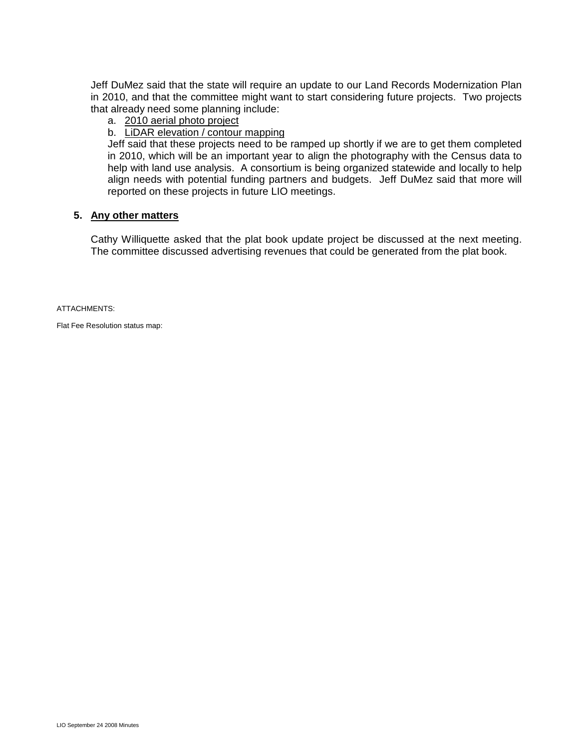Jeff DuMez said that the state will require an update to our Land Records Modernization Plan in 2010, and that the committee might want to start considering future projects. Two projects that already need some planning include:

#### a. 2010 aerial photo project

## b. LiDAR elevation / contour mapping

Jeff said that these projects need to be ramped up shortly if we are to get them completed in 2010, which will be an important year to align the photography with the Census data to help with land use analysis. A consortium is being organized statewide and locally to help align needs with potential funding partners and budgets. Jeff DuMez said that more will reported on these projects in future LIO meetings.

#### **5. Any other matters**

Cathy Williquette asked that the plat book update project be discussed at the next meeting. The committee discussed advertising revenues that could be generated from the plat book.

ATTACHMENTS:

Flat Fee Resolution status map: